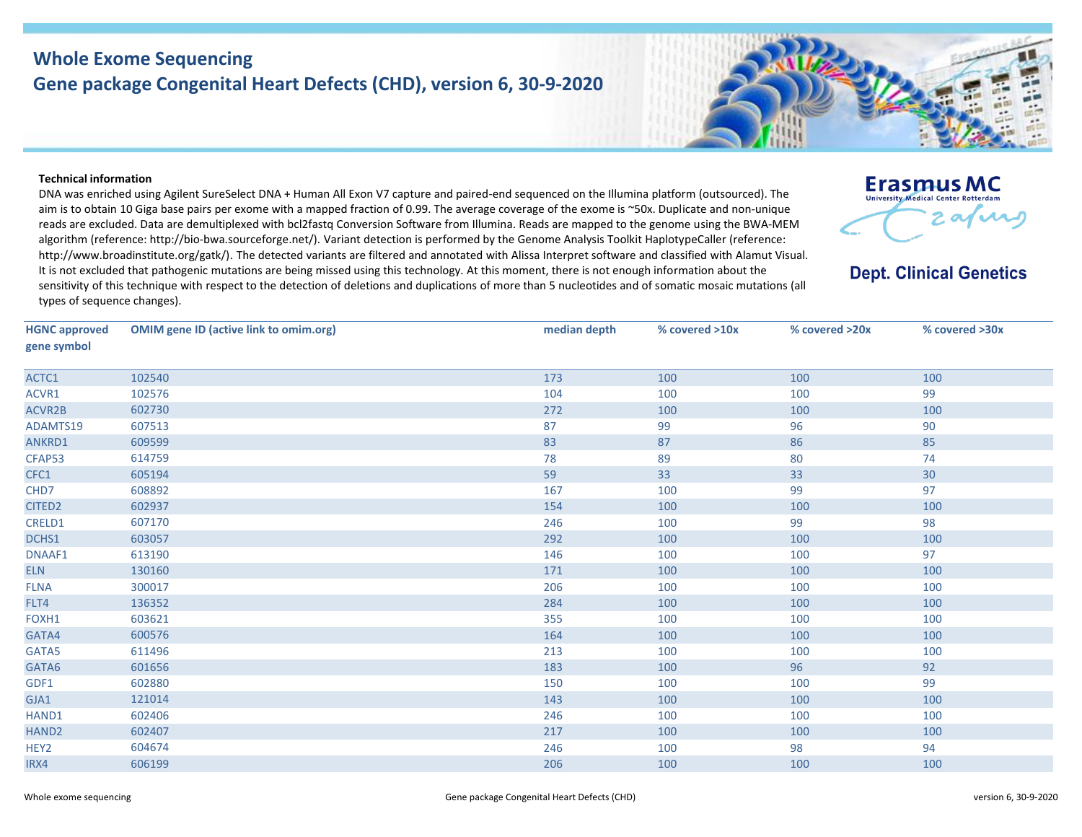## **Whole Exome Sequencing Gene package Congenital Heart Defects (CHD), version 6, 30-9-2020**



## **Technical information**

DNA was enriched using Agilent SureSelect DNA + Human All Exon V7 capture and paired-end sequenced on the Illumina platform (outsourced). The aim is to obtain 10 Giga base pairs per exome with a mapped fraction of 0.99. The average coverage of the exome is ~50x. Duplicate and non-unique reads are excluded. Data are demultiplexed with bcl2fastq Conversion Software from Illumina. Reads are mapped to the genome using the BWA-MEM algorithm (reference: http://bio‐bwa.sourceforge.net/). Variant detection is performed by the Genome Analysis Toolkit HaplotypeCaller (reference: http://www.broadinstitute.org/gatk/). The detected variants are filtered and annotated with Alissa Interpret software and classified with Alamut Visual. It is not excluded that pathogenic mutations are being missed using this technology. At this moment, there is not enough information about the sensitivity of this technique with respect to the detection of deletions and duplications of more than 5 nucleotides and of somatic mosaic mutations (all types of sequence changes).



**Dept. Clinical Genetics** 

| <b>HGNC approved</b><br>gene symbol | <b>OMIM gene ID (active link to omim.org)</b> | median depth | % covered >10x | % covered >20x | % covered >30x |
|-------------------------------------|-----------------------------------------------|--------------|----------------|----------------|----------------|
| ACTC1                               | 102540                                        | 173          | 100            | 100            | 100            |
| ACVR1                               | 102576                                        | 104          | 100            | 100            | 99             |
| ACVR2B                              | 602730                                        | 272          | 100            | 100            | 100            |
| ADAMTS19                            | 607513                                        | 87           | 99             | 96             | 90             |
| ANKRD1                              | 609599                                        | 83           | 87             | 86             | 85             |
| CFAP53                              | 614759                                        | 78           | 89             | 80             | 74             |
| CFC1                                | 605194                                        | 59           | 33             | 33             | 30             |
| CHD7                                | 608892                                        | 167          | 100            | 99             | 97             |
| CITED <sub>2</sub>                  | 602937                                        | 154          | 100            | 100            | 100            |
| CRELD1                              | 607170                                        | 246          | 100            | 99             | 98             |
| DCHS1                               | 603057                                        | 292          | 100            | 100            | 100            |
| DNAAF1                              | 613190                                        | 146          | 100            | 100            | 97             |
| <b>ELN</b>                          | 130160                                        | 171          | 100            | 100            | 100            |
| <b>FLNA</b>                         | 300017                                        | 206          | 100            | 100            | 100            |
| FLT4                                | 136352                                        | 284          | 100            | 100            | 100            |
| FOXH1                               | 603621                                        | 355          | 100            | 100            | 100            |
| GATA4                               | 600576                                        | 164          | 100            | 100            | 100            |
| GATA5                               | 611496                                        | 213          | 100            | 100            | 100            |
| GATA6                               | 601656                                        | 183          | 100            | 96             | 92             |
| GDF1                                | 602880                                        | 150          | 100            | 100            | 99             |
| GJA1                                | 121014                                        | 143          | 100            | 100            | 100            |
| HAND1                               | 602406                                        | 246          | 100            | 100            | 100            |
| HAND <sub>2</sub>                   | 602407                                        | 217          | 100            | 100            | 100            |
| HEY <sub>2</sub>                    | 604674                                        | 246          | 100            | 98             | 94             |
| IRX4                                | 606199                                        | 206          | 100            | 100            | 100            |